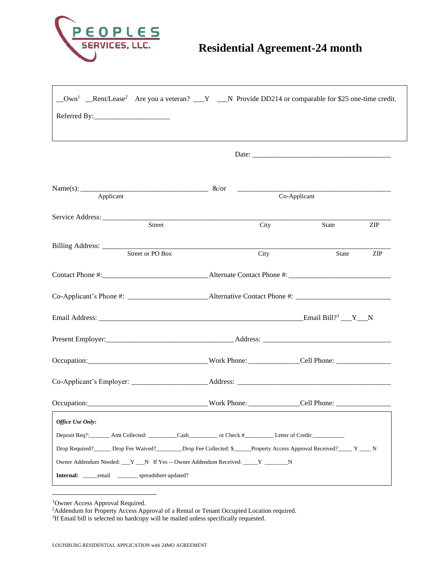

| Name(s): $\frac{\&\text{/or}}{\&\text{/or}}$                                                                                                                                                                                   |              |      |       |     |
|--------------------------------------------------------------------------------------------------------------------------------------------------------------------------------------------------------------------------------|--------------|------|-------|-----|
|                                                                                                                                                                                                                                | Co-Applicant |      |       |     |
| Street                                                                                                                                                                                                                         |              | City | State | ZIP |
|                                                                                                                                                                                                                                |              |      |       |     |
| Street or PO Box                                                                                                                                                                                                               |              | City | State | ZIP |
|                                                                                                                                                                                                                                |              |      |       |     |
| Co-Applicant's Phone #: ______________________________Alternative Contact Phone #: ___________________________                                                                                                                 |              |      |       |     |
|                                                                                                                                                                                                                                |              |      |       |     |
|                                                                                                                                                                                                                                |              |      |       |     |
| Occupation: Comparison: Comparison: Comparison: Comparison: Cell Phone: Cell Phone: Cell Phone: Comparison: Comparison: Comparison: Cell Phone: Cell Phone: Cell Phone: Comparison: Cell Phone: Comparison: Cell Phone: Compar |              |      |       |     |
|                                                                                                                                                                                                                                |              |      |       |     |
|                                                                                                                                                                                                                                |              |      |       |     |
| Office Use Only:                                                                                                                                                                                                               |              |      |       |     |
|                                                                                                                                                                                                                                |              |      |       |     |
| Drop Required? _______ Drop Fee Waived? _________ Drop Fee Collected: \$______ Property Access Approval Received? ______ Y ____ N                                                                                              |              |      |       |     |
| Owner Addendum Needed: Y N If Yes -- Owner Addendum Received: Y N                                                                                                                                                              |              |      |       |     |
| Internal: _____email ________ spreadsheet updated?                                                                                                                                                                             |              |      |       |     |
|                                                                                                                                                                                                                                |              |      |       |     |

<sup>1</sup>Owner Access Approval Required.

<sup>&</sup>lt;sup>2</sup>Addendum for Property Access Approval of a Rental or Tenant Occupied Location required.

<sup>&</sup>lt;sup>3</sup>If Email bill is selected no hardcopy will be mailed unless specifically requested.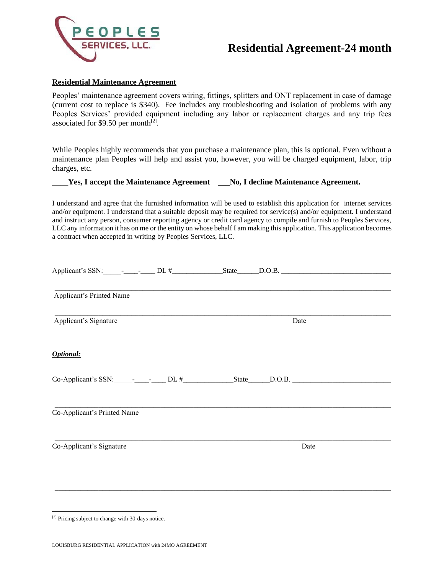

#### **Residential Maintenance Agreement**

Peoples' maintenance agreement covers wiring, fittings, splitters and ONT replacement in case of damage (current cost to replace is \$340). Fee includes any troubleshooting and isolation of problems with any Peoples Services' provided equipment including any labor or replacement charges and any trip fees associated for \$9.50 per month $^{[2]}$ .

While Peoples highly recommends that you purchase a maintenance plan, this is optional. Even without a maintenance plan Peoples will help and assist you, however, you will be charged equipment, labor, trip charges, etc.

### \_\_\_\_**Yes, I accept the Maintenance Agreement \_\_\_No, I decline Maintenance Agreement.**

I understand and agree that the furnished information will be used to establish this application for internet services and/or equipment. I understand that a suitable deposit may be required for service(s) and/or equipment. I understand and instruct any person, consumer reporting agency or credit card agency to compile and furnish to Peoples Services, LLC any information it has on me or the entity on whose behalf I am making this application. This application becomes a contract when accepted in writing by Peoples Services, LLC.

| Applicant's Printed Name    |  |      |  |
|-----------------------------|--|------|--|
| Applicant's Signature       |  | Date |  |
| <b>Optional:</b>            |  |      |  |
|                             |  |      |  |
| Co-Applicant's Printed Name |  |      |  |
| Co-Applicant's Signature    |  | Date |  |
|                             |  |      |  |

\_\_\_\_\_\_\_\_\_\_\_\_\_\_\_\_\_\_\_\_\_\_\_\_\_\_\_\_\_\_\_\_\_\_\_\_\_\_\_\_\_\_\_\_\_\_\_\_\_\_\_\_\_\_\_\_\_\_\_\_\_\_\_\_\_\_\_\_\_\_\_\_\_\_\_\_\_\_\_\_\_\_\_\_\_\_\_\_\_\_\_\_

[2] Pricing subject to change with 30-days notice.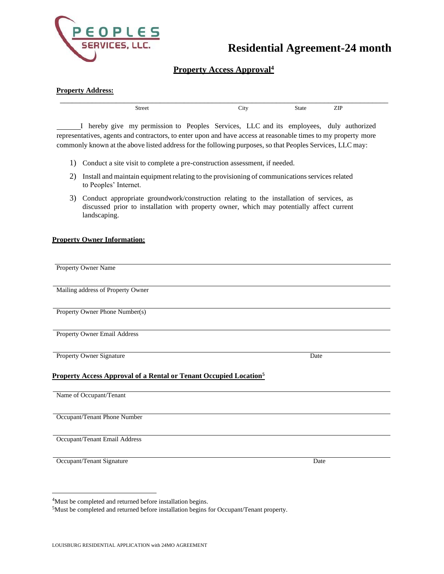

### **Property Access Approval<sup>4</sup>**

| <b>Property Address:</b> |      |       |  |
|--------------------------|------|-------|--|
| Street                   | City | State |  |

I hereby give my permission to Peoples Services, LLC and its employees, duly authorized representatives, agents and contractors, to enter upon and have access at reasonable times to my property more commonly known at the above listed address for the following purposes, so that Peoples Services, LLC may:

- 1) Conduct a site visit to complete a pre-construction assessment, if needed.
- 2) Install and maintain equipment relating to the provisioning of communications services related to Peoples' Internet.
- 3) Conduct appropriate groundwork/construction relating to the installation of services, as discussed prior to installation with property owner, which may potentially affect current landscaping.

#### **Property Owner Information:**

| <b>Property Owner Name</b>                                                                                      |      |
|-----------------------------------------------------------------------------------------------------------------|------|
| Mailing address of Property Owner                                                                               |      |
| Property Owner Phone Number(s)                                                                                  |      |
| Property Owner Email Address                                                                                    |      |
| Property Owner Signature<br><b>Property Access Approval of a Rental or Tenant Occupied Location<sup>5</sup></b> | Date |
|                                                                                                                 |      |
| Name of Occupant/Tenant                                                                                         |      |
| Occupant/Tenant Phone Number                                                                                    |      |
| Occupant/Tenant Email Address                                                                                   |      |
| Occupant/Tenant Signature                                                                                       | Date |

<sup>4</sup>Must be completed and returned before installation begins.

<sup>5</sup>Must be completed and returned before installation begins for Occupant/Tenant property.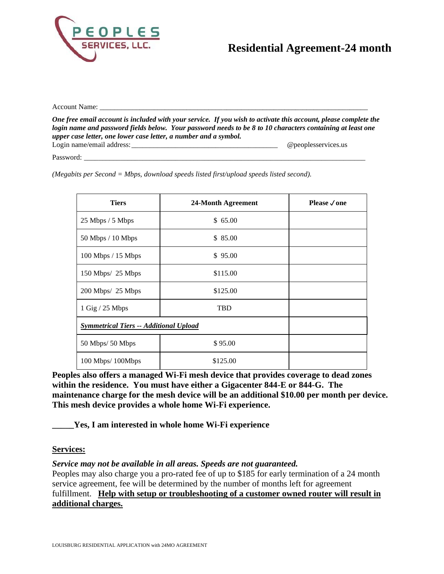

Account Name:

*One free email account is included with your service. If you wish to activate this account, please complete the login name and password fields below. Your password needs to be 8 to 10 characters containing at least one upper case letter, one lower case letter, a number and a symbol.* Login name/email address:\_\_\_\_\_\_\_\_\_\_\_\_\_\_\_\_\_\_\_\_\_\_\_\_\_\_\_\_\_\_\_\_\_\_\_\_\_\_\_\_ @peoplesservices.us

Password:

*(Megabits per Second = Mbps, download speeds listed first/upload speeds listed second).*

| <b>Tiers</b>                                  | 24-Month Agreement | Please $\sqrt{$ one |
|-----------------------------------------------|--------------------|---------------------|
| 25 Mbps / 5 Mbps                              | \$65.00            |                     |
| $50$ Mbps $/ 10$ Mbps                         | \$85.00            |                     |
| 100 Mbps / 15 Mbps                            | \$95.00            |                     |
| 150 Mbps/ 25 Mbps                             | \$115.00           |                     |
| 200 Mbps/ 25 Mbps                             | \$125.00           |                     |
| $1$ Gig $/$ 25 Mbps                           | <b>TBD</b>         |                     |
| <b>Symmetrical Tiers -- Additional Upload</b> |                    |                     |
| 50 Mbps/ 50 Mbps                              | \$95.00            |                     |
| 100 Mbps/100Mbps                              | \$125.00           |                     |

**Peoples also offers a managed Wi-Fi mesh device that provides coverage to dead zones within the residence. You must have either a Gigacenter 844-E or 844-G. The maintenance charge for the mesh device will be an additional \$10.00 per month per device. This mesh device provides a whole home Wi-Fi experience.**

**\_\_\_\_\_Yes, I am interested in whole home Wi-Fi experience**

### **Services:**

### *Service may not be available in all areas. Speeds are not guaranteed.*

Peoples may also charge you a pro-rated fee of up to \$185 for early termination of a 24 month service agreement, fee will be determined by the number of months left for agreement fulfillment. **Help with setup or troubleshooting of a customer owned router will result in additional charges.**